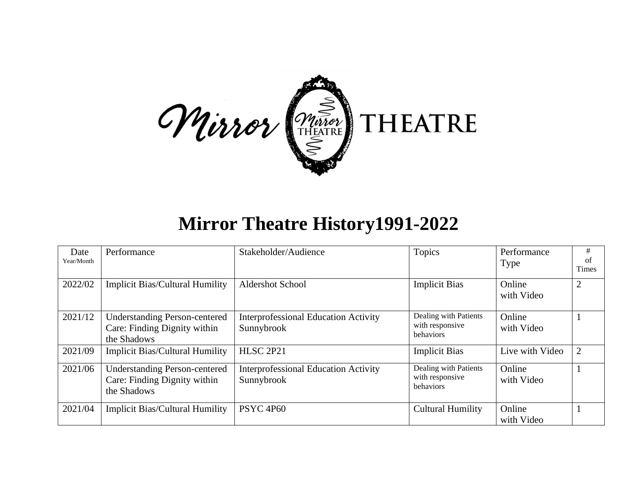

## **Mirror Theatre History1991-2022**

| Date<br>Year/Month | Performance                                                                         | Stakeholder/Audience                                      | Topics                                                       | Performance<br><b>Type</b> | #<br>of<br>Times |
|--------------------|-------------------------------------------------------------------------------------|-----------------------------------------------------------|--------------------------------------------------------------|----------------------------|------------------|
| 2022/02            | <b>Implicit Bias/Cultural Humility</b>                                              | <b>Aldershot School</b>                                   | <b>Implicit Bias</b>                                         | Online<br>with Video       |                  |
| 2021/12            | <b>Understanding Person-centered</b><br>Care: Finding Dignity within<br>the Shadows | <b>Interprofessional Education Activity</b><br>Sunnybrook | Dealing with Patients<br>with responsive<br>behaviors        | Online<br>with Video       |                  |
| 2021/09            | <b>Implicit Bias/Cultural Humility</b>                                              | <b>HLSC 2P21</b>                                          | <b>Implicit Bias</b>                                         | Live with Video            | $\overline{2}$   |
| 2021/06            | <b>Understanding Person-centered</b><br>Care: Finding Dignity within<br>the Shadows | <b>Interprofessional Education Activity</b><br>Sunnybrook | Dealing with Patients<br>with responsive<br><b>behaviors</b> | Online<br>with Video       |                  |
| 2021/04            | <b>Implicit Bias/Cultural Humility</b>                                              | PSYC <sub>4P60</sub>                                      | <b>Cultural Humility</b>                                     | Online<br>with Video       |                  |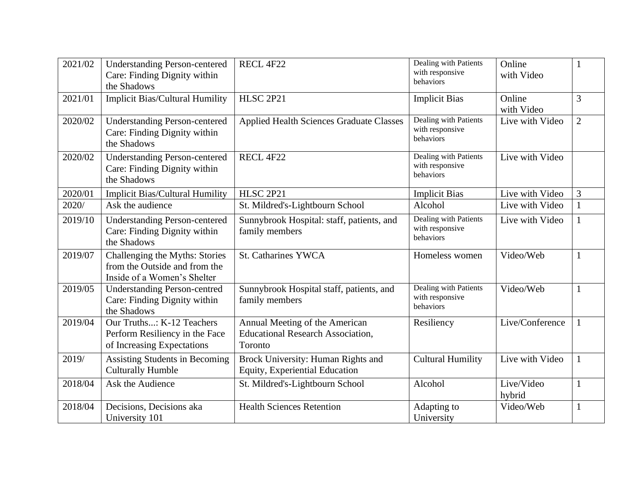| 2021/02 | <b>Understanding Person-centered</b><br>Care: Finding Dignity within<br>the Shadows            | RECL 4F22                                                                             | Dealing with Patients<br>with responsive<br>behaviors | Online<br>with Video |                |
|---------|------------------------------------------------------------------------------------------------|---------------------------------------------------------------------------------------|-------------------------------------------------------|----------------------|----------------|
| 2021/01 | <b>Implicit Bias/Cultural Humility</b>                                                         | <b>HLSC 2P21</b>                                                                      | <b>Implicit Bias</b>                                  | Online<br>with Video | 3              |
| 2020/02 | <b>Understanding Person-centered</b><br>Care: Finding Dignity within<br>the Shadows            | <b>Applied Health Sciences Graduate Classes</b>                                       | Dealing with Patients<br>with responsive<br>behaviors | Live with Video      | $\overline{2}$ |
| 2020/02 | <b>Understanding Person-centered</b><br>Care: Finding Dignity within<br>the Shadows            | RECL 4F22                                                                             | Dealing with Patients<br>with responsive<br>behaviors | Live with Video      |                |
| 2020/01 | <b>Implicit Bias/Cultural Humility</b>                                                         | HLSC 2P21                                                                             | <b>Implicit Bias</b>                                  | Live with Video      | 3              |
| 2020/   | Ask the audience                                                                               | St. Mildred's-Lightbourn School                                                       | Alcohol                                               | Live with Video      | $\mathbf{1}$   |
| 2019/10 | <b>Understanding Person-centered</b><br>Care: Finding Dignity within<br>the Shadows            | Sunnybrook Hospital: staff, patients, and<br>family members                           | Dealing with Patients<br>with responsive<br>behaviors | Live with Video      | 1              |
| 2019/07 | Challenging the Myths: Stories<br>from the Outside and from the<br>Inside of a Women's Shelter | <b>St. Catharines YWCA</b>                                                            | Homeless women                                        | Video/Web            | 1              |
| 2019/05 | <b>Understanding Person-centred</b><br>Care: Finding Dignity within<br>the Shadows             | Sunnybrook Hospital staff, patients, and<br>family members                            | Dealing with Patients<br>with responsive<br>behaviors | Video/Web            | 1              |
| 2019/04 | Our Truths: K-12 Teachers<br>Perform Resiliency in the Face<br>of Increasing Expectations      | Annual Meeting of the American<br><b>Educational Research Association,</b><br>Toronto | Resiliency                                            | Live/Conference      | 1              |
| 2019/   | <b>Assisting Students in Becoming</b><br><b>Culturally Humble</b>                              | Brock University: Human Rights and<br>Equity, Experiential Education                  | <b>Cultural Humility</b>                              | Live with Video      | $\mathbf{1}$   |
| 2018/04 | Ask the Audience                                                                               | St. Mildred's-Lightbourn School                                                       | Alcohol                                               | Live/Video<br>hybrid |                |
| 2018/04 | Decisions, Decisions aka<br>University 101                                                     | <b>Health Sciences Retention</b>                                                      | Adapting to<br>University                             | Video/Web            | $\mathbf{1}$   |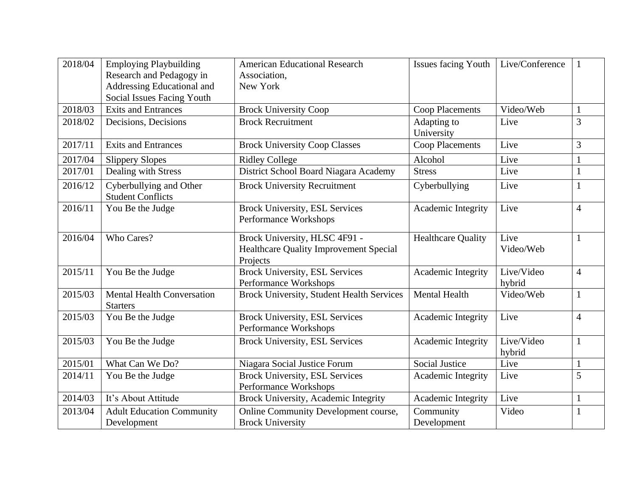| 2018/04 | <b>Employing Playbuilding</b><br>Research and Pedagogy in<br>Addressing Educational and | <b>American Educational Research</b><br>Association,<br>New York                           | <b>Issues facing Youth</b> | Live/Conference      |                |
|---------|-----------------------------------------------------------------------------------------|--------------------------------------------------------------------------------------------|----------------------------|----------------------|----------------|
|         | <b>Social Issues Facing Youth</b>                                                       |                                                                                            |                            |                      |                |
| 2018/03 | <b>Exits and Entrances</b>                                                              | <b>Brock University Coop</b>                                                               | <b>Coop Placements</b>     | Video/Web            |                |
| 2018/02 | Decisions, Decisions                                                                    | <b>Brock Recruitment</b>                                                                   | Adapting to<br>University  | Live                 | 3              |
| 2017/11 | <b>Exits and Entrances</b>                                                              | <b>Brock University Coop Classes</b>                                                       | <b>Coop Placements</b>     | Live                 | 3              |
| 2017/04 | <b>Slippery Slopes</b>                                                                  | <b>Ridley College</b>                                                                      | Alcohol                    | Live                 |                |
| 2017/01 | Dealing with Stress                                                                     | District School Board Niagara Academy                                                      | <b>Stress</b>              | Live                 |                |
| 2016/12 | Cyberbullying and Other<br><b>Student Conflicts</b>                                     | <b>Brock University Recruitment</b>                                                        | Cyberbullying              | Live                 |                |
| 2016/11 | You Be the Judge                                                                        | <b>Brock University, ESL Services</b><br>Performance Workshops                             | Academic Integrity         | Live                 | $\overline{4}$ |
| 2016/04 | Who Cares?                                                                              | Brock University, HLSC 4F91 -<br><b>Healthcare Quality Improvement Special</b><br>Projects | <b>Healthcare Quality</b>  | Live<br>Video/Web    | 1              |
| 2015/11 | You Be the Judge                                                                        | <b>Brock University, ESL Services</b><br>Performance Workshops                             | Academic Integrity         | Live/Video<br>hybrid | $\overline{4}$ |
| 2015/03 | Mental Health Conversation<br><b>Starters</b>                                           | <b>Brock University, Student Health Services</b>                                           | <b>Mental Health</b>       | Video/Web            | 1              |
| 2015/03 | You Be the Judge                                                                        | <b>Brock University, ESL Services</b><br>Performance Workshops                             | Academic Integrity         | Live                 | $\overline{4}$ |
| 2015/03 | You Be the Judge                                                                        | <b>Brock University, ESL Services</b>                                                      | Academic Integrity         | Live/Video<br>hybrid |                |
| 2015/01 | What Can We Do?                                                                         | Niagara Social Justice Forum                                                               | <b>Social Justice</b>      | Live                 | $\mathbf{1}$   |
| 2014/11 | You Be the Judge                                                                        | <b>Brock University, ESL Services</b><br>Performance Workshops                             | Academic Integrity         | Live                 | 5              |
| 2014/03 | It's About Attitude                                                                     | Brock University, Academic Integrity                                                       | Academic Integrity         | Live                 | 1              |
| 2013/04 | <b>Adult Education Community</b><br>Development                                         | Online Community Development course,<br><b>Brock University</b>                            | Community<br>Development   | Video                |                |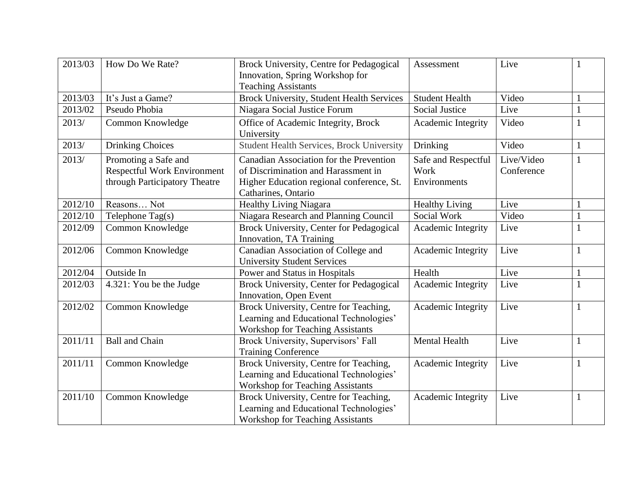| 2013/03 | How Do We Rate?                                                                             | Brock University, Centre for Pedagogical<br>Innovation, Spring Workshop for<br><b>Teaching Assistants</b>                                          | Assessment                                  | Live                     |   |
|---------|---------------------------------------------------------------------------------------------|----------------------------------------------------------------------------------------------------------------------------------------------------|---------------------------------------------|--------------------------|---|
| 2013/03 | It's Just a Game?                                                                           | <b>Brock University, Student Health Services</b>                                                                                                   | <b>Student Health</b>                       | Video                    |   |
| 2013/02 | Pseudo Phobia                                                                               | Niagara Social Justice Forum                                                                                                                       | <b>Social Justice</b>                       | Live                     |   |
| 2013/   | Common Knowledge                                                                            | Office of Academic Integrity, Brock<br>University                                                                                                  | Academic Integrity                          | Video                    |   |
| 2013/   | <b>Drinking Choices</b>                                                                     | <b>Student Health Services, Brock University</b>                                                                                                   | Drinking                                    | Video                    | 1 |
| 2013/   | Promoting a Safe and<br><b>Respectful Work Environment</b><br>through Participatory Theatre | Canadian Association for the Prevention<br>of Discrimination and Harassment in<br>Higher Education regional conference, St.<br>Catharines, Ontario | Safe and Respectful<br>Work<br>Environments | Live/Video<br>Conference |   |
| 2012/10 | Reasons Not                                                                                 | <b>Healthy Living Niagara</b>                                                                                                                      | <b>Healthy Living</b>                       | Live                     |   |
| 2012/10 | Telephone Tag(s)                                                                            | Niagara Research and Planning Council                                                                                                              | Social Work                                 | Video                    |   |
| 2012/09 | Common Knowledge                                                                            | Brock University, Center for Pedagogical<br>Innovation, TA Training                                                                                | Academic Integrity                          | Live                     |   |
| 2012/06 | Common Knowledge                                                                            | Canadian Association of College and<br><b>University Student Services</b>                                                                          | Academic Integrity                          | Live                     |   |
| 2012/04 | Outside In                                                                                  | Power and Status in Hospitals                                                                                                                      | Health                                      | Live                     |   |
| 2012/03 | 4.321: You be the Judge                                                                     | Brock University, Center for Pedagogical<br>Innovation, Open Event                                                                                 | Academic Integrity                          | Live                     |   |
| 2012/02 | Common Knowledge                                                                            | Brock University, Centre for Teaching,<br>Learning and Educational Technologies'<br><b>Workshop for Teaching Assistants</b>                        | Academic Integrity                          | Live                     |   |
| 2011/11 | <b>Ball and Chain</b>                                                                       | Brock University, Supervisors' Fall<br><b>Training Conference</b>                                                                                  | <b>Mental Health</b>                        | Live                     |   |
| 2011/11 | Common Knowledge                                                                            | Brock University, Centre for Teaching,<br>Learning and Educational Technologies'<br><b>Workshop for Teaching Assistants</b>                        | Academic Integrity                          | Live                     |   |
| 2011/10 | Common Knowledge                                                                            | Brock University, Centre for Teaching,<br>Learning and Educational Technologies'<br><b>Workshop for Teaching Assistants</b>                        | Academic Integrity                          | Live                     |   |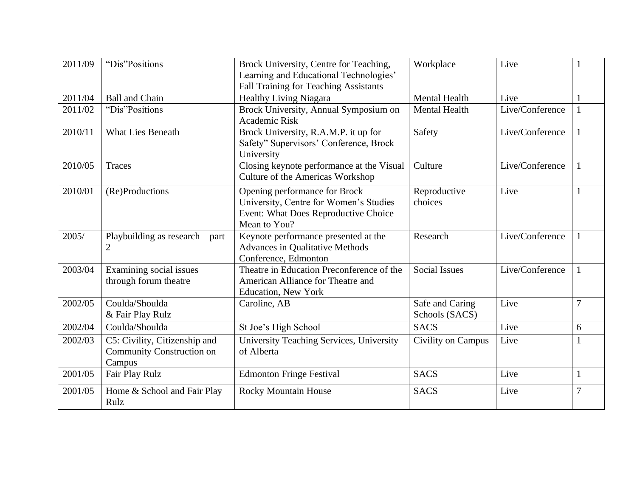| 2011/09 | "Dis"Positions                                                              | Brock University, Centre for Teaching,<br>Learning and Educational Technologies'<br>Fall Training for Teaching Assistants       | Workplace                         | Live            |                |
|---------|-----------------------------------------------------------------------------|---------------------------------------------------------------------------------------------------------------------------------|-----------------------------------|-----------------|----------------|
| 2011/04 | <b>Ball and Chain</b>                                                       | <b>Healthy Living Niagara</b>                                                                                                   | <b>Mental Health</b>              | Live            |                |
| 2011/02 | "Dis"Positions                                                              | Brock University, Annual Symposium on<br>Academic Risk                                                                          | <b>Mental Health</b>              | Live/Conference |                |
| 2010/11 | <b>What Lies Beneath</b>                                                    | Brock University, R.A.M.P. it up for<br>Safety" Supervisors' Conference, Brock<br>University                                    | Safety                            | Live/Conference |                |
| 2010/05 | Traces                                                                      | Closing keynote performance at the Visual<br><b>Culture of the Americas Workshop</b>                                            | Culture                           | Live/Conference |                |
| 2010/01 | (Re)Productions                                                             | Opening performance for Brock<br>University, Centre for Women's Studies<br>Event: What Does Reproductive Choice<br>Mean to You? | Reproductive<br>choices           | Live            |                |
| 2005/   | Playbuilding as research – part<br>$\overline{2}$                           | Keynote performance presented at the<br><b>Advances in Qualitative Methods</b><br>Conference, Edmonton                          | Research                          | Live/Conference |                |
| 2003/04 | Examining social issues<br>through forum theatre                            | Theatre in Education Preconference of the<br>American Alliance for Theatre and<br><b>Education, New York</b>                    | <b>Social Issues</b>              | Live/Conference |                |
| 2002/05 | Coulda/Shoulda<br>& Fair Play Rulz                                          | Caroline, AB                                                                                                                    | Safe and Caring<br>Schools (SACS) | Live            | 7              |
| 2002/04 | Coulda/Shoulda                                                              | St Joe's High School                                                                                                            | <b>SACS</b>                       | Live            | 6              |
| 2002/03 | C5: Civility, Citizenship and<br><b>Community Construction on</b><br>Campus | University Teaching Services, University<br>of Alberta                                                                          | Civility on Campus                | Live            |                |
| 2001/05 | Fair Play Rulz                                                              | <b>Edmonton Fringe Festival</b>                                                                                                 | <b>SACS</b>                       | Live            |                |
| 2001/05 | Home & School and Fair Play<br>Rulz                                         | <b>Rocky Mountain House</b>                                                                                                     | <b>SACS</b>                       | Live            | $\overline{7}$ |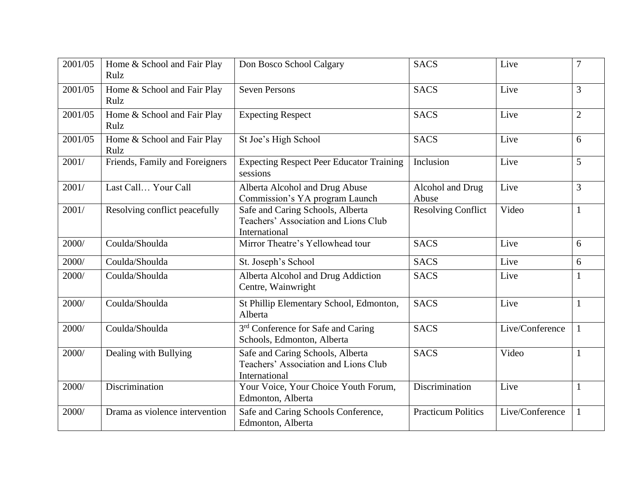| 2001/05 | Home & School and Fair Play<br>Rulz | Don Bosco School Calgary                                                                  | <b>SACS</b>               | Live            | 7              |
|---------|-------------------------------------|-------------------------------------------------------------------------------------------|---------------------------|-----------------|----------------|
| 2001/05 | Home & School and Fair Play<br>Rulz | <b>Seven Persons</b>                                                                      | <b>SACS</b>               | Live            | 3              |
| 2001/05 | Home & School and Fair Play<br>Rulz | <b>Expecting Respect</b>                                                                  | <b>SACS</b>               | Live            | $\overline{2}$ |
| 2001/05 | Home & School and Fair Play<br>Rulz | St Joe's High School                                                                      | <b>SACS</b>               | Live            | 6              |
| 2001/   | Friends, Family and Foreigners      | <b>Expecting Respect Peer Educator Training</b><br>sessions                               | Inclusion                 | Live            | 5              |
| 2001/   | Last Call Your Call                 | Alberta Alcohol and Drug Abuse<br>Commission's YA program Launch                          | Alcohol and Drug<br>Abuse | Live            | 3              |
| 2001/   | Resolving conflict peacefully       | Safe and Caring Schools, Alberta<br>Teachers' Association and Lions Club<br>International | <b>Resolving Conflict</b> | Video           | $\mathbf{1}$   |
| 2000/   | Coulda/Shoulda                      | Mirror Theatre's Yellowhead tour                                                          | <b>SACS</b>               | Live            | 6              |
| 2000/   | Coulda/Shoulda                      | St. Joseph's School                                                                       | <b>SACS</b>               | Live            | 6              |
| 2000/   | Coulda/Shoulda                      | Alberta Alcohol and Drug Addiction<br>Centre, Wainwright                                  | <b>SACS</b>               | Live            | 1              |
| 2000/   | Coulda/Shoulda                      | St Phillip Elementary School, Edmonton,<br>Alberta                                        | <b>SACS</b>               | Live            | 1              |
| 2000/   | Coulda/Shoulda                      | 3 <sup>rd</sup> Conference for Safe and Caring<br>Schools, Edmonton, Alberta              | <b>SACS</b>               | Live/Conference | 1              |
| 2000/   | Dealing with Bullying               | Safe and Caring Schools, Alberta<br>Teachers' Association and Lions Club<br>International | <b>SACS</b>               | Video           |                |
| 2000/   | Discrimination                      | Your Voice, Your Choice Youth Forum,<br>Edmonton, Alberta                                 | Discrimination            | Live            |                |
| 2000/   | Drama as violence intervention      | Safe and Caring Schools Conference,<br>Edmonton, Alberta                                  | <b>Practicum Politics</b> | Live/Conference |                |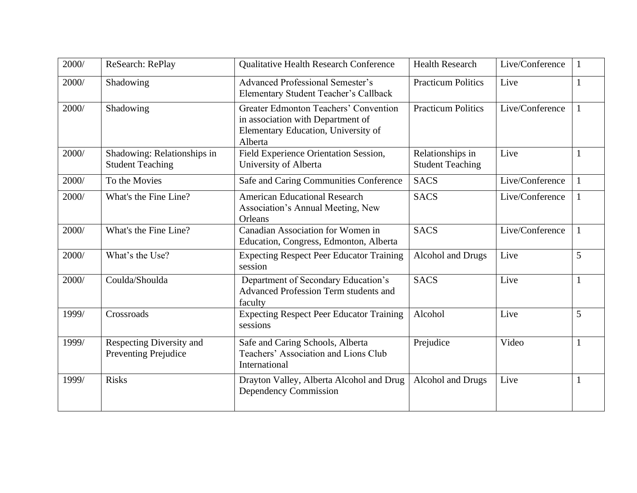| 2000/ | ReSearch: RePlay                                        | <b>Qualitative Health Research Conference</b>                                                                                | <b>Health Research</b>                      | Live/Conference |   |
|-------|---------------------------------------------------------|------------------------------------------------------------------------------------------------------------------------------|---------------------------------------------|-----------------|---|
| 2000/ | Shadowing                                               | <b>Advanced Professional Semester's</b><br>Elementary Student Teacher's Callback                                             | <b>Practicum Politics</b>                   | Live            |   |
| 2000/ | Shadowing                                               | Greater Edmonton Teachers' Convention<br>in association with Department of<br>Elementary Education, University of<br>Alberta | <b>Practicum Politics</b>                   | Live/Conference |   |
| 2000/ | Shadowing: Relationships in<br><b>Student Teaching</b>  | Field Experience Orientation Session,<br>University of Alberta                                                               | Relationships in<br><b>Student Teaching</b> | Live            |   |
| 2000/ | To the Movies                                           | Safe and Caring Communities Conference                                                                                       | <b>SACS</b>                                 | Live/Conference |   |
| 2000/ | What's the Fine Line?                                   | <b>American Educational Research</b><br>Association's Annual Meeting, New<br>Orleans                                         | <b>SACS</b>                                 | Live/Conference |   |
| 2000/ | What's the Fine Line?                                   | Canadian Association for Women in<br>Education, Congress, Edmonton, Alberta                                                  | <b>SACS</b>                                 | Live/Conference | 1 |
| 2000/ | What's the Use?                                         | <b>Expecting Respect Peer Educator Training</b><br>session                                                                   | Alcohol and Drugs                           | Live            | 5 |
| 2000/ | Coulda/Shoulda                                          | Department of Secondary Education's<br>Advanced Profession Term students and<br>faculty                                      | <b>SACS</b>                                 | Live            |   |
| 1999/ | Crossroads                                              | <b>Expecting Respect Peer Educator Training</b><br>sessions                                                                  | Alcohol                                     | Live            | 5 |
| 1999/ | Respecting Diversity and<br><b>Preventing Prejudice</b> | Safe and Caring Schools, Alberta<br>Teachers' Association and Lions Club<br>International                                    | Prejudice                                   | Video           |   |
| 1999/ | <b>Risks</b>                                            | Drayton Valley, Alberta Alcohol and Drug<br>Dependency Commission                                                            | Alcohol and Drugs                           | Live            |   |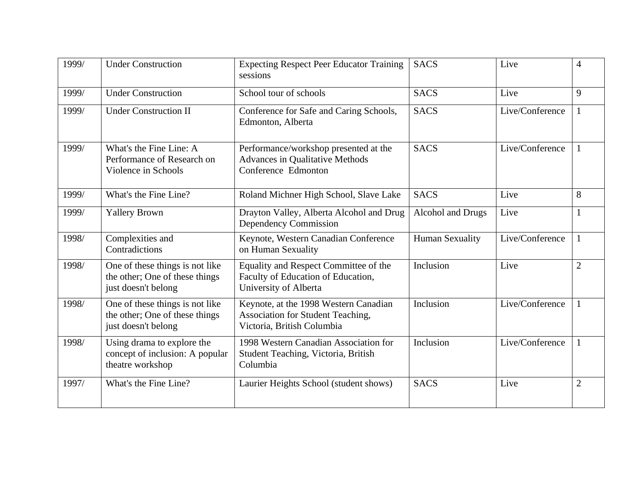| 1999/ | <b>Under Construction</b>                                                                | <b>Expecting Respect Peer Educator Training</b><br>sessions                                              | <b>SACS</b>            | Live            | $\overline{4}$ |
|-------|------------------------------------------------------------------------------------------|----------------------------------------------------------------------------------------------------------|------------------------|-----------------|----------------|
| 1999/ | <b>Under Construction</b>                                                                | School tour of schools                                                                                   | <b>SACS</b>            | Live            | 9              |
| 1999/ | <b>Under Construction II</b>                                                             | Conference for Safe and Caring Schools,<br>Edmonton, Alberta                                             | <b>SACS</b>            | Live/Conference |                |
| 1999/ | What's the Fine Line: A<br>Performance of Research on<br>Violence in Schools             | Performance/workshop presented at the<br><b>Advances in Qualitative Methods</b><br>Conference Edmonton   | <b>SACS</b>            | Live/Conference |                |
| 1999/ | What's the Fine Line?                                                                    | Roland Michner High School, Slave Lake                                                                   | <b>SACS</b>            | Live            | 8              |
| 1999/ | <b>Yallery Brown</b>                                                                     | Drayton Valley, Alberta Alcohol and Drug<br>Dependency Commission                                        | Alcohol and Drugs      | Live            |                |
| 1998/ | Complexities and<br>Contradictions                                                       | Keynote, Western Canadian Conference<br>on Human Sexuality                                               | <b>Human Sexuality</b> | Live/Conference |                |
| 1998/ | One of these things is not like<br>the other; One of these things<br>just doesn't belong | Equality and Respect Committee of the<br>Faculty of Education of Education,<br>University of Alberta     | Inclusion              | Live            | $\overline{2}$ |
| 1998/ | One of these things is not like<br>the other; One of these things<br>just doesn't belong | Keynote, at the 1998 Western Canadian<br>Association for Student Teaching,<br>Victoria, British Columbia | Inclusion              | Live/Conference |                |
| 1998/ | Using drama to explore the<br>concept of inclusion: A popular<br>theatre workshop        | 1998 Western Canadian Association for<br>Student Teaching, Victoria, British<br>Columbia                 | Inclusion              | Live/Conference |                |
| 1997/ | What's the Fine Line?                                                                    | Laurier Heights School (student shows)                                                                   | <b>SACS</b>            | Live            | $\overline{2}$ |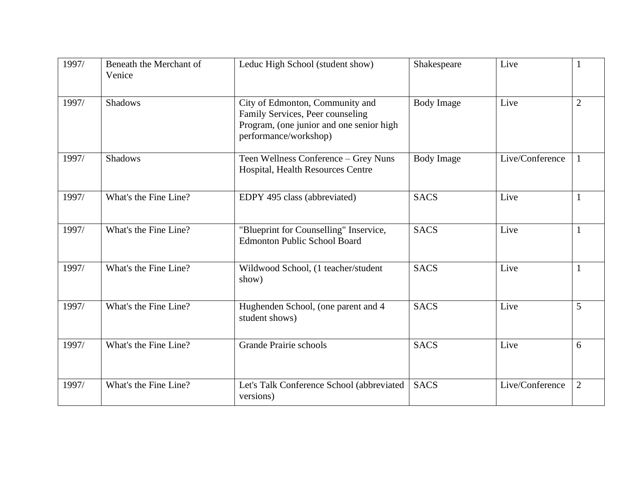| 1997/ | Beneath the Merchant of<br>Venice | Leduc High School (student show)                                                                                                         | Shakespeare       | Live            |                |
|-------|-----------------------------------|------------------------------------------------------------------------------------------------------------------------------------------|-------------------|-----------------|----------------|
| 1997/ | <b>Shadows</b>                    | City of Edmonton, Community and<br>Family Services, Peer counseling<br>Program, (one junior and one senior high<br>performance/workshop) | <b>Body Image</b> | Live            | $\overline{2}$ |
| 1997/ | <b>Shadows</b>                    | Teen Wellness Conference - Grey Nuns<br>Hospital, Health Resources Centre                                                                | <b>Body Image</b> | Live/Conference |                |
| 1997/ | What's the Fine Line?             | EDPY 495 class (abbreviated)                                                                                                             | <b>SACS</b>       | Live            |                |
| 1997/ | What's the Fine Line?             | "Blueprint for Counselling" Inservice,<br><b>Edmonton Public School Board</b>                                                            | <b>SACS</b>       | Live            |                |
| 1997/ | What's the Fine Line?             | Wildwood School, (1 teacher/student<br>show)                                                                                             | <b>SACS</b>       | Live            |                |
| 1997/ | What's the Fine Line?             | Hughenden School, (one parent and 4<br>student shows)                                                                                    | <b>SACS</b>       | Live            | 5              |
| 1997/ | What's the Fine Line?             | <b>Grande Prairie schools</b>                                                                                                            | <b>SACS</b>       | Live            | 6              |
| 1997/ | What's the Fine Line?             | Let's Talk Conference School (abbreviated<br>versions)                                                                                   | <b>SACS</b>       | Live/Conference | $\overline{2}$ |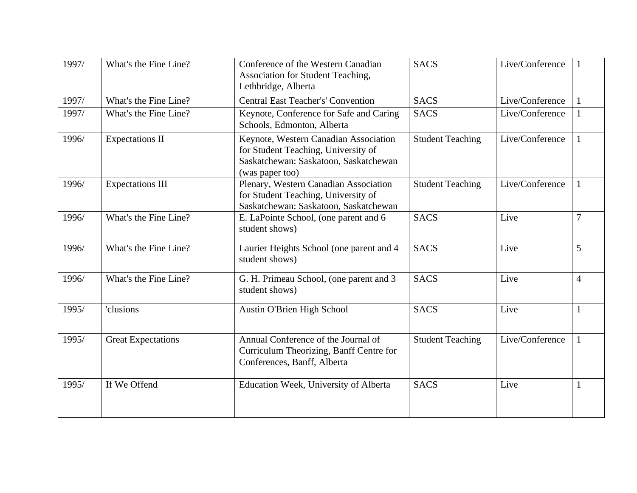| 1997/ | What's the Fine Line?     | Conference of the Western Canadian<br>Association for Student Teaching,<br>Lethbridge, Alberta                                           | <b>SACS</b>             | Live/Conference |                |
|-------|---------------------------|------------------------------------------------------------------------------------------------------------------------------------------|-------------------------|-----------------|----------------|
| 1997/ | What's the Fine Line?     | <b>Central East Teacher's' Convention</b>                                                                                                | <b>SACS</b>             | Live/Conference |                |
| 1997/ | What's the Fine Line?     | Keynote, Conference for Safe and Caring<br>Schools, Edmonton, Alberta                                                                    | <b>SACS</b>             | Live/Conference |                |
| 1996/ | <b>Expectations II</b>    | Keynote, Western Canadian Association<br>for Student Teaching, University of<br>Saskatchewan: Saskatoon, Saskatchewan<br>(was paper too) | <b>Student Teaching</b> | Live/Conference |                |
| 1996/ | <b>Expectations III</b>   | Plenary, Western Canadian Association<br>for Student Teaching, University of<br>Saskatchewan: Saskatoon, Saskatchewan                    | <b>Student Teaching</b> | Live/Conference |                |
| 1996/ | What's the Fine Line?     | E. LaPointe School, (one parent and 6<br>student shows)                                                                                  | <b>SACS</b>             | Live            | 7              |
| 1996/ | What's the Fine Line?     | Laurier Heights School (one parent and 4<br>student shows)                                                                               | <b>SACS</b>             | Live            | 5              |
| 1996/ | What's the Fine Line?     | G. H. Primeau School, (one parent and 3<br>student shows)                                                                                | <b>SACS</b>             | Live            | $\overline{4}$ |
| 1995/ | 'clusions                 | Austin O'Brien High School                                                                                                               | <b>SACS</b>             | Live            |                |
| 1995/ | <b>Great Expectations</b> | Annual Conference of the Journal of<br>Curriculum Theorizing, Banff Centre for<br>Conferences, Banff, Alberta                            | <b>Student Teaching</b> | Live/Conference |                |
| 1995/ | If We Offend              | Education Week, University of Alberta                                                                                                    | <b>SACS</b>             | Live            |                |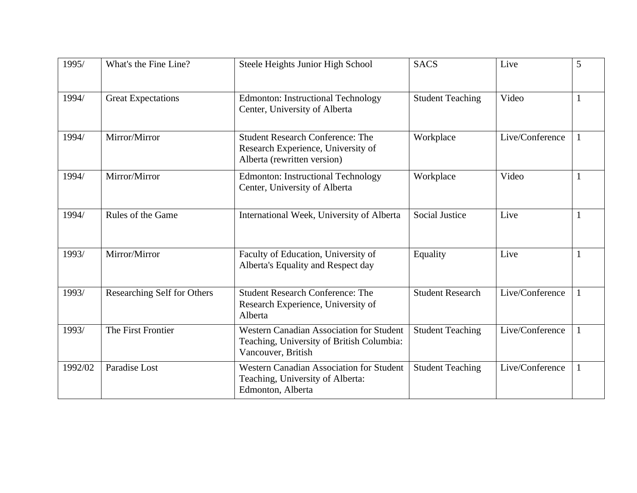| 1995/   | What's the Fine Line?              | Steele Heights Junior High School                                                                            | <b>SACS</b>             | Live            | 5 |
|---------|------------------------------------|--------------------------------------------------------------------------------------------------------------|-------------------------|-----------------|---|
| 1994/   | <b>Great Expectations</b>          | <b>Edmonton: Instructional Technology</b><br>Center, University of Alberta                                   | <b>Student Teaching</b> | Video           |   |
| 1994/   | Mirror/Mirror                      | <b>Student Research Conference: The</b><br>Research Experience, University of<br>Alberta (rewritten version) | Workplace               | Live/Conference |   |
| 1994/   | Mirror/Mirror                      | <b>Edmonton: Instructional Technology</b><br>Center, University of Alberta                                   | Workplace               | Video           |   |
| 1994/   | Rules of the Game                  | International Week, University of Alberta                                                                    | <b>Social Justice</b>   | Live            |   |
| 1993/   | Mirror/Mirror                      | Faculty of Education, University of<br>Alberta's Equality and Respect day                                    | Equality                | Live            |   |
| 1993/   | <b>Researching Self for Others</b> | <b>Student Research Conference: The</b><br>Research Experience, University of<br>Alberta                     | <b>Student Research</b> | Live/Conference |   |
| 1993/   | The First Frontier                 | Western Canadian Association for Student<br>Teaching, University of British Columbia:<br>Vancouver, British  | <b>Student Teaching</b> | Live/Conference |   |
| 1992/02 | Paradise Lost                      | <b>Western Canadian Association for Student</b><br>Teaching, University of Alberta:<br>Edmonton, Alberta     | <b>Student Teaching</b> | Live/Conference |   |